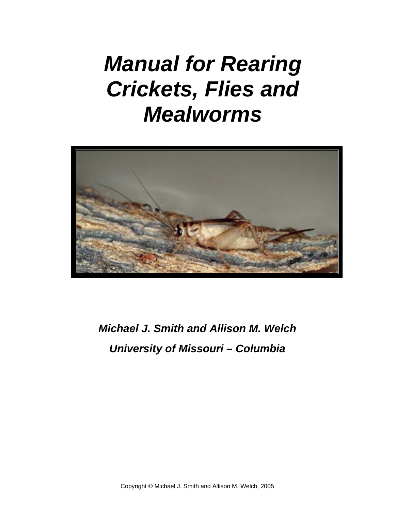# *Manual for Rearing Crickets, Flies and Mealworms*



*Michael J. Smith and Allison M. Welch University of Missouri – Columbia*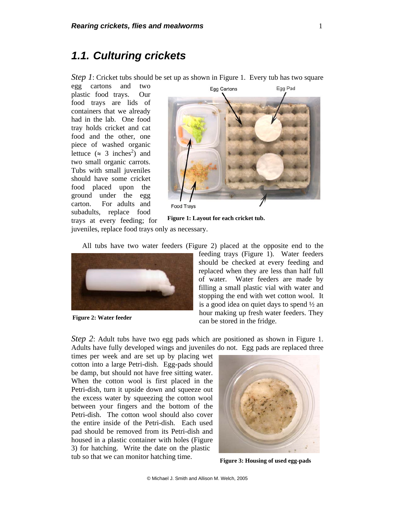#### *1.1. Culturing crickets*

*Step 1*: Cricket tubs should be set up as shown in Figure 1. Every tub has two square

egg cartons and two plastic food trays. Our food trays are lids of containers that we already had in the lab. One food tray holds cricket and cat food and the other, one piece of washed organic lettuce  $(\approx 3 \text{ inches}^2)$  and two small organic carrots. Tubs with small juveniles should have some cricket food placed upon the ground under the egg carton. For adults and subadults, replace food trays at every feeding; for



**Food Trays** 

**Figure 1: Layout for each cricket tub.** 

juveniles, replace food trays only as necessary.

All tubs have two water feeders (Figure 2) placed at the opposite end to the



**Figure 2: Water feeder** 

feeding trays (Figure 1). Water feeders should be checked at every feeding and replaced when they are less than half full of water. Water feeders are made by filling a small plastic vial with water and stopping the end with wet cotton wool. It is a good idea on quiet days to spend  $\frac{1}{2}$  an hour making up fresh water feeders. They can be stored in the fridge.

*Step 2*: Adult tubs have two egg pads which are positioned as shown in Figure 1. Adults have fully developed wings and juveniles do not. Egg pads are replaced three

times per week and are set up by placing wet cotton into a large Petri-dish. Egg-pads should be damp, but should not have free sitting water. When the cotton wool is first placed in the Petri-dish, turn it upside down and squeeze out the excess water by squeezing the cotton wool between your fingers and the bottom of the Petri-dish. The cotton wool should also cover the entire inside of the Petri-dish. Each used pad should be removed from its Petri-dish and housed in a plastic container with holes (Figure 3) for hatching. Write the date on the plastic tub so that we can monitor hatching time.



**Figure 3: Housing of used egg-pads**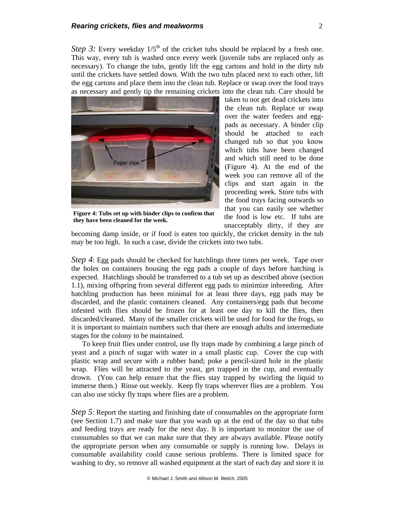*Step 3:* Every weekday  $1/5<sup>th</sup>$  of the cricket tubs should be replaced by a fresh one. This way, every tub is washed once every week (juvenile tubs are replaced only as necessary). To change the tubs, gently lift the egg cartons and hold in the dirty tub until the crickets have settled down. With the two tubs placed next to each other, lift the egg cartons and place them into the clean tub. Replace or swap over the food trays as necessary and gently tip the remaining crickets into the clean tub. Care should be



**Figure 4: Tubs set up with binder clips to confirm that they have been cleaned for the week.**

taken to not get dead crickets into the clean tub. Replace or swap over the water feeders and eggpads as necessary. A binder clip should be attached to each changed tub so that you know which tubs have been changed and which still need to be done (Figure 4). At the end of the week you can remove all of the clips and start again in the proceeding week. Store tubs with the food trays facing outwards so that you can easily see whether the food is low etc. If tubs are unacceptably dirty, if they are

becoming damp inside, or if food is eaten too quickly, the cricket density in the tub may be too high. In such a case, divide the crickets into two tubs.

*Step 4*: Egg pads should be checked for hatchlings three times per week. Tape over the holes on containers housing the egg pads a couple of days before hatching is expected. Hatchlings should be transferred to a tub set up as described above (section 1.1), mixing offspring from several different egg pads to minimize inbreeding. After hatchling production has been minimal for at least three days, egg pads may be discarded, and the plastic containers cleaned. Any containers/egg pads that become infested with flies should be frozen for at least one day to kill the flies, then discarded/cleaned. Many of the smaller crickets will be used for food for the frogs, so it is important to maintain numbers such that there are enough adults and intermediate stages for the colony to be maintained.

To keep fruit flies under control, use fly traps made by combining a large pinch of yeast and a pinch of sugar with water in a small plastic cup. Cover the cup with plastic wrap and secure with a rubber band; poke a pencil-sized hole in the plastic wrap. Flies will be attracted to the yeast, get trapped in the cup, and eventually drown. (You can help ensure that the flies stay trapped by swirling the liquid to immerse them.) Rinse out weekly. Keep fly traps wherever flies are a problem. You can also use sticky fly traps where flies are a problem.

*Step 5*: Report the starting and finishing date of consumables on the appropriate form (see Section 1.7) and make sure that you wash up at the end of the day so that tubs and feeding trays are ready for the next day. It is important to monitor the use of consumables so that we can make sure that they are always available. Please notify the appropriate person when any consumable or supply is running low. Delays in consumable availability could cause serious problems. There is limited space for washing to dry, so remove all washed equipment at the start of each day and store it in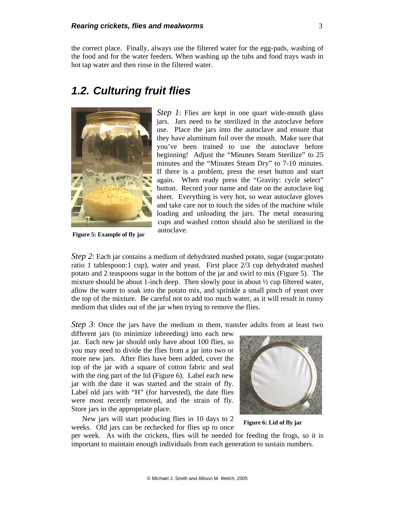the correct place. Finally, always use the filtered water for the egg-pads, washing of the food and for the water feeders. When washing up the tubs and food trays wash in hot tap water and then rinse in the filtered water.

### *1.2. Culturing fruit flies*



**Figure 5: Example of fly jar**

*Step 1*: Flies are kept in one quart wide-mouth glass jars. Jars need to be sterilized in the autoclave before use. Place the jars into the autoclave and ensure that they have aluminum foil over the mouth. Make sure that you've been trained to use the autoclave before beginning! Adjust the "Minutes Steam Sterilize" to 25 minutes and the "Minutes Steam Dry" to 7-10 minutes. If there is a problem, press the reset button and start again. When ready press the "Gravity: cycle select" button. Record your name and date on the autoclave log sheet. Everything is very hot, so wear autoclave gloves and take care not to touch the sides of the machine while loading and unloading the jars. The metal measuring cups and washed cotton should also be sterilized in the autoclave.

*Step 2*: Each jar contains a medium of dehydrated mashed potato, sugar (sugar:potato ratio 1 tablespoon:1 cup), water and yeast. First place 2/3 cup dehydrated mashed potato and 2 teaspoons sugar in the bottom of the jar and swirl to mix (Figure 5). The mixture should be about 1-inch deep. Then slowly pour in about  $\frac{1}{2}$  cup filtered water, allow the water to soak into the potato mix, and sprinkle a small pinch of yeast over the top of the mixture. Be careful not to add too much water, as it will result in runny medium that slides out of the jar when trying to remove the flies.

*Step 3*: Once the jars have the medium in them, transfer adults from at least two

different jars (to minimize inbreeding) into each new jar. Each new jar should only have about 100 flies, so you may need to divide the flies from a jar into two or more new jars. After flies have been added, cover the top of the jar with a square of cotton fabric and seal with the ring part of the lid (Figure 6). Label each new jar with the date it was started and the strain of fly. Label old jars with "H" (for harvested), the date flies were most recently removed, and the strain of fly. Store jars in the appropriate place.

New jars will start producing flies in 10 days to 2 weeks. Old jars can be rechecked for flies up to once



**Figure 6: Lid of fly jar** 

per week. As with the crickets, flies will be needed for feeding the frogs, so it is important to maintain enough individuals from each generation to sustain numbers.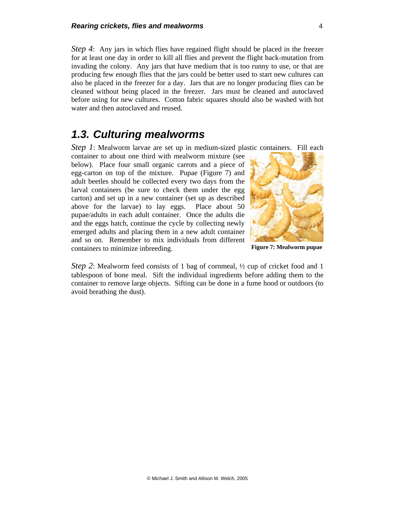*Step 4*: Any jars in which flies have regained flight should be placed in the freezer for at least one day in order to kill all flies and prevent the flight back-mutation from invading the colony. Any jars that have medium that is too runny to use, or that are producing few enough flies that the jars could be better used to start new cultures can also be placed in the freezer for a day. Jars that are no longer producing flies can be cleaned without being placed in the freezer. Jars must be cleaned and autoclaved before using for new cultures. Cotton fabric squares should also be washed with hot water and then autoclaved and reused.

#### *1.3. Culturing mealworms*

*Step 1*: Mealworm larvae are set up in medium-sized plastic containers. Fill each

container to about one third with mealworm mixture (see below). Place four small organic carrots and a piece of egg-carton on top of the mixture. Pupae (Figure 7) and adult beetles should be collected every two days from the larval containers (be sure to check them under the egg carton) and set up in a new container (set up as described above for the larvae) to lay eggs. Place about 50 pupae/adults in each adult container. Once the adults die and the eggs hatch, continue the cycle by collecting newly emerged adults and placing them in a new adult container and so on. Remember to mix individuals from different containers to minimize inbreeding.



**Figure 7: Mealworm pupae** 

*Step 2*: Mealworm feed consists of 1 bag of cornmeal,  $\frac{1}{2}$  cup of cricket food and 1 tablespoon of bone meal. Sift the individual ingredients before adding them to the container to remove large objects. Sifting can be done in a fume hood or outdoors (to avoid breathing the dust).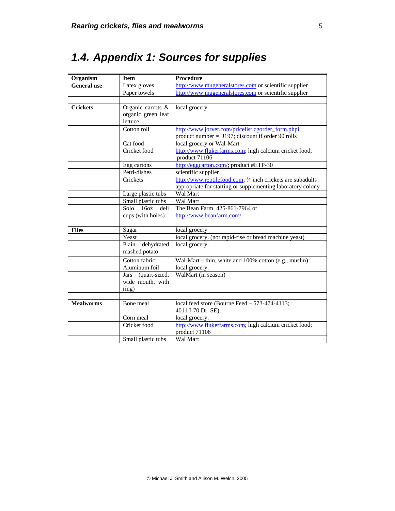# *1.4. Appendix 1: Sources for supplies*

| Organism           | <b>Item</b>                  | <b>Procedure</b>                                            |  |  |  |  |  |
|--------------------|------------------------------|-------------------------------------------------------------|--|--|--|--|--|
| <b>General</b> use | Latex gloves                 | http://www.mugeneralstores.com or scientific supplier       |  |  |  |  |  |
|                    | Paper towels                 | http://www.mugeneralstores.com or scientific supplier       |  |  |  |  |  |
|                    |                              |                                                             |  |  |  |  |  |
| <b>Crickets</b>    | Organic carrots &            | local grocery                                               |  |  |  |  |  |
|                    | organic green leaf           |                                                             |  |  |  |  |  |
|                    | lettuce                      |                                                             |  |  |  |  |  |
|                    | Cotton roll                  | http://www.jorvet.com/pricelist.cgorder_form.phpi           |  |  |  |  |  |
|                    |                              | product number $=$ J197; discount if order 90 rolls         |  |  |  |  |  |
|                    | Cat food                     | local grocery or Wal-Mart                                   |  |  |  |  |  |
|                    | Cricket food                 | http://www.flukerfarms.com; high calcium cricket food,      |  |  |  |  |  |
|                    |                              | product 71106                                               |  |  |  |  |  |
|                    | Egg cartons                  | http://eggcarton.com/; product #ETP-30                      |  |  |  |  |  |
|                    | Petri-dishes                 | scientific supplier                                         |  |  |  |  |  |
|                    | Crickets                     | http://www.reptilefood.com; 3/4 inch crickets are subadults |  |  |  |  |  |
|                    |                              | appropriate for starting or supplementing laboratory colony |  |  |  |  |  |
|                    | Large plastic tubs           | Wal Mart                                                    |  |  |  |  |  |
|                    | Small plastic tubs           | Wal Mart                                                    |  |  |  |  |  |
|                    | 160z<br>Solo<br>deli         | The Bean Farm, 425-861-7964 or                              |  |  |  |  |  |
|                    | cups (with holes)            | http://www.beanfarm.com/                                    |  |  |  |  |  |
|                    |                              |                                                             |  |  |  |  |  |
| <b>Flies</b>       | Sugar                        | local grocery                                               |  |  |  |  |  |
|                    | Yeast                        | local grocery. (not rapid-rise or bread machine yeast)      |  |  |  |  |  |
|                    | dehydrated<br>Plain          | local grocery.                                              |  |  |  |  |  |
|                    | mashed potato                |                                                             |  |  |  |  |  |
|                    | Cotton fabric                | Wal-Mart – thin, white and 100% cotton (e.g., muslin)       |  |  |  |  |  |
|                    | Aluminum foil                | local grocery.                                              |  |  |  |  |  |
|                    | (quart-sized,<br><b>Jars</b> | WalMart (in season)                                         |  |  |  |  |  |
|                    | wide mouth, with             |                                                             |  |  |  |  |  |
|                    | ring)                        |                                                             |  |  |  |  |  |
|                    |                              |                                                             |  |  |  |  |  |
| <b>Mealworms</b>   | Bone meal                    | local feed store (Bourne Feed $-573-474-4113$ ;             |  |  |  |  |  |
|                    |                              | 4011 I-70 Dr. SE)                                           |  |  |  |  |  |
|                    | Corn meal                    | local grocery.                                              |  |  |  |  |  |
|                    | Cricket food                 | http://www.flukerfarms.com; high calcium cricket food;      |  |  |  |  |  |
|                    |                              | product 71106                                               |  |  |  |  |  |
|                    | Small plastic tubs           | Wal Mart                                                    |  |  |  |  |  |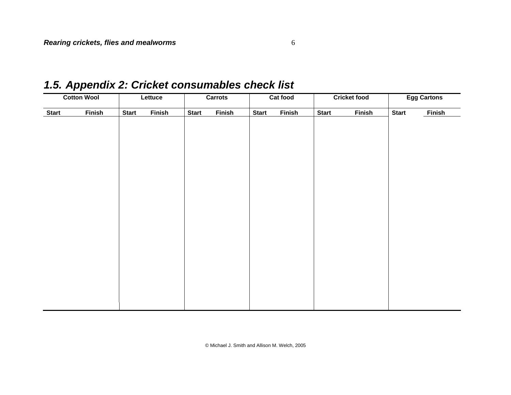## *1.5. Appendix 2: Cricket consumables check list*

| <b>Cotton Wool</b> |               | Lettuce      |               | <b>Carrots</b> | Cat food      |              | <b>Cricket food</b> |              | <b>Egg Cartons</b> |              |               |
|--------------------|---------------|--------------|---------------|----------------|---------------|--------------|---------------------|--------------|--------------------|--------------|---------------|
| <b>Start</b>       | <b>Finish</b> | <b>Start</b> | <b>Finish</b> | <b>Start</b>   | <b>Finish</b> | <b>Start</b> | <b>Finish</b>       | <b>Start</b> | <b>Finish</b>      | <b>Start</b> | <b>Finish</b> |
|                    |               |              |               |                |               |              |                     |              |                    |              |               |
|                    |               |              |               |                |               |              |                     |              |                    |              |               |
|                    |               |              |               |                |               |              |                     |              |                    |              |               |
|                    |               |              |               |                |               |              |                     |              |                    |              |               |
|                    |               |              |               |                |               |              |                     |              |                    |              |               |
|                    |               |              |               |                |               |              |                     |              |                    |              |               |
|                    |               |              |               |                |               |              |                     |              |                    |              |               |
|                    |               |              |               |                |               |              |                     |              |                    |              |               |
|                    |               |              |               |                |               |              |                     |              |                    |              |               |
|                    |               |              |               |                |               |              |                     |              |                    |              |               |
|                    |               |              |               |                |               |              |                     |              |                    |              |               |
|                    |               |              |               |                |               |              |                     |              |                    |              |               |
|                    |               |              |               |                |               |              |                     |              |                    |              |               |
|                    |               |              |               |                |               |              |                     |              |                    |              |               |
|                    |               |              |               |                |               |              |                     |              |                    |              |               |
|                    |               |              |               |                |               |              |                     |              |                    |              |               |

© Michael J. Smith and Allison M. Welch, 2005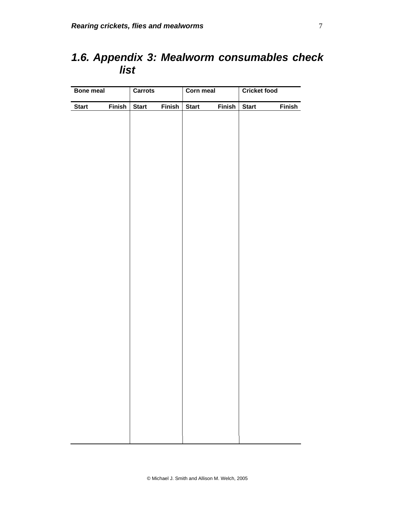## *1.6. Appendix 3: Mealworm consumables check list*

| <b>Bone meal</b> |               | <b>Carrots</b> |               | <b>Corn meal</b> |        | <b>Cricket food</b> |               |
|------------------|---------------|----------------|---------------|------------------|--------|---------------------|---------------|
| <b>Start</b>     | <b>Finish</b> | <b>Start</b>   | <b>Finish</b> | <b>Start</b>     | Finish | <b>Start</b>        | <b>Finish</b> |
|                  |               |                |               |                  |        |                     |               |
|                  |               |                |               |                  |        |                     |               |
|                  |               |                |               |                  |        |                     |               |
|                  |               |                |               |                  |        |                     |               |
|                  |               |                |               |                  |        |                     |               |
|                  |               |                |               |                  |        |                     |               |
|                  |               |                |               |                  |        |                     |               |
|                  |               |                |               |                  |        |                     |               |
|                  |               |                |               |                  |        |                     |               |
|                  |               |                |               |                  |        |                     |               |
|                  |               |                |               |                  |        |                     |               |
|                  |               |                |               |                  |        |                     |               |
|                  |               |                |               |                  |        |                     |               |
|                  |               |                |               |                  |        |                     |               |
|                  |               |                |               |                  |        |                     |               |
|                  |               |                |               |                  |        |                     |               |
|                  |               |                |               |                  |        |                     |               |
|                  |               |                |               |                  |        |                     |               |
|                  |               |                |               |                  |        |                     |               |
|                  |               |                |               |                  |        |                     |               |
|                  |               |                |               |                  |        |                     |               |
|                  |               |                |               |                  |        |                     |               |
|                  |               |                |               |                  |        |                     |               |
|                  |               |                |               |                  |        |                     |               |
|                  |               |                |               |                  |        |                     |               |
|                  |               |                |               |                  |        |                     |               |